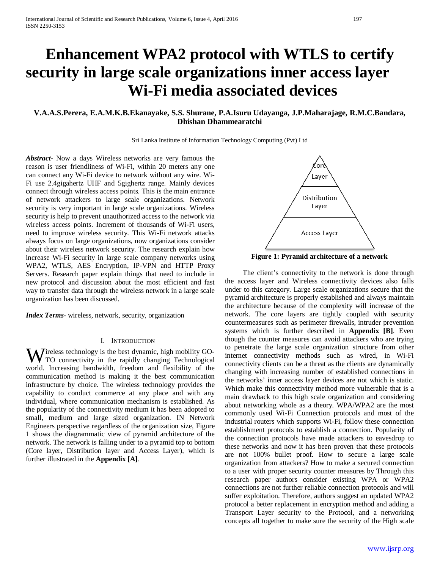# **Enhancement WPA2 protocol with WTLS to certify security in large scale organizations inner access layer Wi-Fi media associated devices**

# **V.A.A.S.Perera, E.A.M.K.B.Ekanayake, S.S. Shurane, P.A.Isuru Udayanga, J.P.Maharajage, R.M.C.Bandara, Dhishan Dhammearatchi**

Sri Lanka Institute of Information Technology Computing (Pvt) Ltd

*Abstract***-** Now a days Wireless networks are very famous the reason is user friendliness of Wi-Fi, within 20 meters any one can connect any Wi-Fi device to network without any wire. Wi-Fi use 2.4gigahertz UHF and 5gighertz range. Mainly devices connect through wireless access points. This is the main entrance of network attackers to large scale organizations. Network security is very important in large scale organizations. Wireless security is help to prevent unauthorized access to the network via wireless access points. Increment of thousands of Wi-Fi users, need to improve wireless security. This Wi-Fi network attacks always focus on large organizations, now organizations consider about their wireless network security. The research explain how increase Wi-Fi security in large scale company networks using WPA2, WTLS, AES Encryption, IP-VPN and HTTP Proxy Servers. Research paper explain things that need to include in new protocol and discussion about the most efficient and fast way to transfer data through the wireless network in a large scale organization has been discussed.

*Index Terms*- wireless, network, security, organization

#### I. INTRODUCTION

ireless technology is the best dynamic, high mobility GO-**W** reless technology is the best dynamic, high mobility GO-<br>TO connectivity in the rapidly changing Technological world. Increasing bandwidth, freedom and flexibility of the communication method is making it the best communication infrastructure by choice. The wireless technology provides the capability to conduct commerce at any place and with any individual, where communication mechanism is established. As the popularity of the connectivity medium it has been adopted to small, medium and large sized organization. IN Network Engineers perspective regardless of the organization size, Figure 1 shows the diagrammatic view of pyramid architecture of the network. The network is falling under to a pyramid top to bottom (Core layer, Distribution layer and Access Layer), which is further illustrated in the **Appendix [A]**.



**Figure 1: Pyramid architecture of a network**

 The client's connectivity to the network is done through the access layer and Wireless connectivity devices also falls under to this category. Large scale organizations secure that the pyramid architecture is properly established and always maintain the architecture because of the complexity will increase of the network. The core layers are tightly coupled with security countermeasures such as perimeter firewalls, intruder prevention systems which is further described in **Appendix [B]**. Even though the counter measures can avoid attackers who are trying to penetrate the large scale organization structure from other internet connectivity methods such as wired, in Wi-Fi connectivity clients can be a threat as the clients are dynamically changing with increasing number of established connections in the networks' inner access layer devices are not which is static. Which make this connectivity method more vulnerable that is a main drawback to this high scale organization and considering about networking whole as a theory. WPA/WPA2 are the most commonly used Wi-Fi Connection protocols and most of the industrial routers which supports Wi-Fi, follow these connection establishment protocols to establish a connection. Popularity of the connection protocols have made attackers to eavesdrop to these networks and now it has been proven that these protocols are not 100% bullet proof. How to secure a large scale organization from attackers? How to make a secured connection to a user with proper security counter measures by Through this research paper authors consider existing WPA or WPA2 connections are not further reliable connection protocols and will suffer exploitation. Therefore, authors suggest an updated WPA2 protocol a better replacement in encryption method and adding a Transport Layer security to the Protocol, and a networking concepts all together to make sure the security of the High scale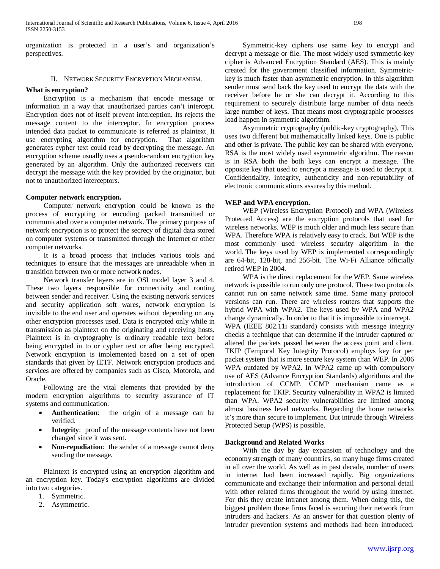organization is protected in a user's and organization's perspectives.

# II. NETWORK SECURITY ENCRYPTION MECHANISM.

#### **What is encryption?**

 Encryption is a mechanism that encode message or information in a way that unauthorized parties can't intercept. Encryption does not of itself prevent interception. Its rejects the message content to the interceptor. In encryption process intended data packet to communicate is referred as plaintext. It use encrypting algorithm for encryption. That algorithm generates cypher text could read by decrypting the message. An encryption scheme usually uses a pseudo-random encryption key generated by an algorithm. Only the authorized receivers can decrypt the message with the key provided by the originator, but not to unauthorized interceptors.

# **Computer network encryption.**

 Computer network encryption could be known as the process of encrypting or encoding packed transmitted or communicated over a computer network. The primary purpose of network encryption is to protect the secrecy of digital data stored on computer systems or transmitted through the Internet or other computer networks.

 It is a broad process that includes various tools and techniques to ensure that the messages are unreadable when in transition between two or more network nodes.

 Network transfer layers are in OSI model layer 3 and 4. These two layers responsible for connectivity and routing between sender and receiver. Using the existing network services and security application soft wares, network encryption is invisible to the end user and operates without depending on any other encryption processes used. Data is encrypted only while in transmission as plaintext on the originating and receiving hosts. Plaintext is in cryptography is ordinary readable text before being encrypted in to or cypher text or after being encrypted. Network encryption is implemented based on a set of open standards that given by IETF. Network encryption products and services are offered by companies such as Cisco, Motorola, and Oracle.

 Following are the vital elements that provided by the modern encryption algorithms to security assurance of IT systems and communication.

- Authentication: the origin of a message can be verified.
- **Integrity**: proof of the message contents have not been changed since it was sent.
- **Non-repudiation**: the sender of a message cannot deny sending the message.

 Plaintext is encrypted using an encryption algorithm and an encryption key. Today's encryption algorithms are divided into two categories.

- 1. Symmetric.
- 2. Asymmetric.

 Symmetric-key ciphers use same key to encrypt and decrypt a message or file. The most widely used symmetric-key cipher is Advanced Encryption Standard (AES). This is mainly created for the government classified information. Symmetrickey is much faster than asymmetric encryption. In this algorithm sender must send back the key used to encrypt the data with the receiver before he or she can decrypt it. According to this requirement to securely distribute large number of data needs large number of keys. That means most cryptographic processes load happen in symmetric algorithm.

 Asymmetric cryptography (public-key cryptography), This uses two different but mathematically linked keys. One is public and other is private. The public key can be shared with everyone. RSA is the most widely used asymmetric algorithm. The reason is in RSA both the both keys can encrypt a message. The opposite key that used to encrypt a message is used to decrypt it. Confidentiality, integrity, authenticity and non-reputability of electronic communications assures by this method.

# **WEP and WPA encryption.**

 WEP (Wireless Encryption Protocol) and WPA (Wireless Protected Access) are the encryption protocols that used for wireless networks. WEP is much older and much less secure than WPA. Therefore WPA is relatively easy to crack. But WEP is the most commonly used wireless security algorithm in the world. The keys used by WEP is implemented correspondingly are 64-bit, 128-bit, and 256-bit. The Wi-Fi Alliance officially retired WEP in 2004.

 WPA is the direct replacement for the WEP. Same wireless network is possible to run only one protocol. These two protocols cannot run on same network same time. Same many protocol versions can run. There are wireless routers that supports the hybrid WPA with WPA2. The keys used by WPA and WPA2 change dynamically. In order to that it is impossible to intercept. WPA (IEEE 802.11i standard) consists with message integrity checks a technique that can determine if the intruder captured or altered the packets passed between the access point and client. TKIP (Temporal Key Integrity Protocol) employs key for per packet system that is more secure key system than WEP. In 2006 WPA outdated by WPA2. In WPA2 came up with compulsory use of AES (Advance Encryption Standards) algorithms and the introduction of CCMP. CCMP mechanism came as a replacement for TKIP. Security vulnerability in WPA2 is limited than WPA. WPA2 security vulnerabilities are limited among almost business level networks. Regarding the home networks it's more than secure to implement. But intrude through Wireless Protected Setup (WPS) is possible.

# **Background and Related Works**

 With the day by day expansion of technology and the economy strength of many countries, so many huge firms created in all over the world. As well as in past decade, number of users in internet had been increased rapidly. Big organizations communicate and exchange their information and personal detail with other related firms throughout the world by using internet. For this they create intranet among them. When doing this, the biggest problem those firms faced is securing their network from intruders and hackers. As an answer for that question plenty of intruder prevention systems and methods had been introduced.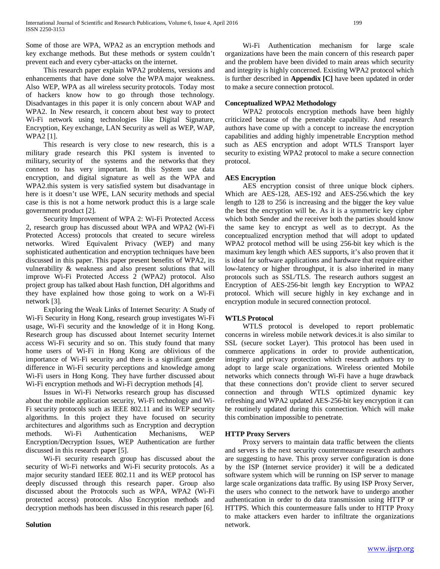Some of those are WPA, WPA2 as an encryption methods and key exchange methods. But these methods or system couldn't prevent each and every cyber-attacks on the internet.

 This research paper explain WPA2 problems, versions and enhancements that have done solve the WPA major weakness. Also WEP, WPA as all wireless security protocols. Today most of hackers know how to go through those technology. Disadvantages in this paper it is only concern about WAP and WPA2. In New research, it concern about best way to protect Wi-Fi network using technologies like Digital Signature, Encryption, Key exchange, LAN Security as well as WEP, WAP, WPA2 [1].

 This research is very close to new research, this is a military grade research this PKI system is invented to military, security of the systems and the networks that they connect to has very important. In this System use data encryption, and digital signature as well as the WPA and WPA2.this system is very satisfied system but disadvantage in here is it doesn't use WPE, LAN security methods and special case is this is not a home network product this is a large scale government product [2].

 Security Improvement of WPA 2: Wi-Fi Protected Access 2, research group has discussed about WPA and WPA2 (Wi-Fi Protected Access) protocols that created to secure wireless networks. Wired Equivalent Privacy (WEP) and many sophisticated authentication and encryption techniques have been discussed in this paper. This paper present benefits of WPA2, its vulnerability & weakness and also present solutions that will improve Wi-Fi Protected Access 2 (WPA2) protocol. Also project group has talked about Hash function, DH algorithms and they have explained how those going to work on a Wi-Fi network [3].

 Exploring the Weak Links of Internet Security: A Study of Wi-Fi Security in Hong Kong, research group investigates Wi-Fi usage, Wi-Fi security and the knowledge of it in Hong Kong. Research group has discussed about Internet security Internet access Wi-Fi security and so on. This study found that many home users of Wi-Fi in Hong Kong are oblivious of the importance of Wi-Fi security and there is a significant gender difference in Wi-Fi security perceptions and knowledge among Wi-Fi users in Hong Kong. They have further discussed about Wi-Fi encryption methods and Wi-Fi decryption methods [4].

 Issues in Wi-Fi Networks research group has discussed about the mobile application security, Wi-Fi technology and Wi-Fi security protocols such as IEEE 802.11 and its WEP security algorithms. In this project they have focused on security architectures and algorithms such as Encryption and decryption methods. Wi-Fi Authentication Mechanisms, WEP Encryption/Decryption Issues, WEP Authentication are further discussed in this research paper [5].

 Wi-Fi security research group has discussed about the security of Wi-Fi networks and Wi-Fi security protocols. As a major security standard IEEE 802.11 and its WEP protocol has deeply discussed through this research paper. Group also discussed about the Protocols such as WPA, WPA2 (Wi-Fi protected access) protocols. Also Encryption methods and decryption methods has been discussed in this research paper [6].

# **Solution**

 Wi-Fi Authentication mechanism for large scale organizations have been the main concern of this research paper and the problem have been divided to main areas which security and integrity is highly concerned. Existing WPA2 protocol which is further described in **Appendix [C]** have been updated in order to make a secure connection protocol.

# **Conceptualized WPA2 Methodology**

 WPA2 protocols encryption methods have been highly criticized because of the penetrable capability. And research authors have come up with a concept to increase the encryption capabilities and adding highly impenetrable Encryption method such as AES encryption and adopt WTLS Transport layer security to existing WPA2 protocol to make a secure connection protocol.

# **AES Encryption**

 AES encryption consist of three unique block ciphers. Which are AES-128, AES-192 and AES-256.which the key length to 128 to 256 is increasing and the bigger the key value the best the encryption will be. As it is a symmetric key cipher which both Sender and the receiver both the parties should know the same key to encrypt as well as to decrypt. As the conceptualized encryption method that will adopt to updated WPA2 protocol method will be using 256-bit key which is the maximum key length which AES supports, it's also proven that it is ideal for software applications and hardware that require either low-latency or higher throughput, it is also inherited in many protocols such as SSL/TLS. The research authors suggest an Encryption of AES-256-bit length key Encryption to WPA2 protocol. Which will secure highly in key exchange and in encryption module in secured connection protocol.

# **WTLS Protocol**

 WTLS protocol is developed to report problematic concerns in wireless mobile network devices.it is also similar to SSL (secure socket Layer). This protocol has been used in commerce applications in order to provide authentication, integrity and privacy protection which research authors try to adopt to large scale organizations. Wireless oriented Mobile networks which connects through Wi-Fi have a huge drawback that these connections don't provide client to server secured connection and through WTLS optimized dynamic key refreshing and WPA2 updated AES-256-bit key encryption it can be routinely updated during this connection. Which will make this combination impossible to penetrate.

# **HTTP Proxy Servers**

 Proxy servers to maintain data traffic between the clients and servers is the next security countermeasure research authors are suggesting to have. This proxy server configuration is done by the ISP (Internet service provider) it will be a dedicated software system which will be running on ISP server to manage large scale organizations data traffic. By using ISP Proxy Server, the users who connect to the network have to undergo another authentication in order to do data transmission using HTTP or HTTPS. Which this countermeasure falls under to HTTP Proxy to make attackers even harder to infiltrate the organizations network.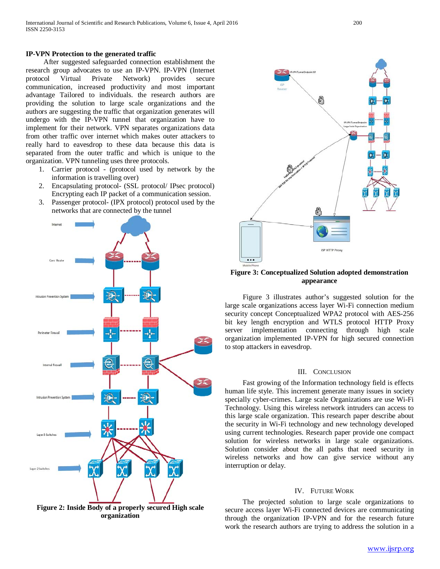#### **IP-VPN Protection to the generated traffic**

 After suggested safeguarded connection establishment the research group advocates to use an IP-VPN. IP-VPN (Internet protocol Virtual Private Network) provides secure communication, increased productivity and most important advantage Tailored to individuals. the research authors are providing the solution to large scale organizations and the authors are suggesting the traffic that organization generates will undergo with the IP-VPN tunnel that organization have to implement for their network. VPN separates organizations data from other traffic over internet which makes outer attackers to really hard to eavesdrop to these data because this data is separated from the outer traffic and which is unique to the organization. VPN tunneling uses three protocols.

- 1. Carrier protocol (protocol used by network by the information is travelling over)
- 2. Encapsulating protocol- (SSL protocol/ IPsec protocol) Encrypting each IP packet of a communication session.
- 3. Passenger protocol- (IPX protocol) protocol used by the networks that are connected by the tunnel



**Figure 2: Inside Body of a properly secured High scale organization**



#### **Figure 3: Conceptualized Solution adopted demonstration appearance**

 Figure 3 illustrates author's suggested solution for the large scale organizations access layer Wi-Fi connection medium security concept Conceptualized WPA2 protocol with AES-256 bit key length encryption and WTLS protocol HTTP Proxy server implementation connecting through high scale organization implemented IP-VPN for high secured connection to stop attackers in eavesdrop.

#### III. CONCLUSION

 Fast growing of the Information technology field is effects human life style. This increment generate many issues in society specially cyber-crimes. Large scale Organizations are use Wi-Fi Technology. Using this wireless network intruders can access to this large scale organization. This research paper describe about the security in Wi-Fi technology and new technology developed using current technologies. Research paper provide one compact solution for wireless networks in large scale organizations. Solution consider about the all paths that need security in wireless networks and how can give service without any interruption or delay.

# IV. FUTURE WORK

 The projected solution to large scale organizations to secure access layer Wi-Fi connected devices are communicating through the organization IP-VPN and for the research future work the research authors are trying to address the solution in a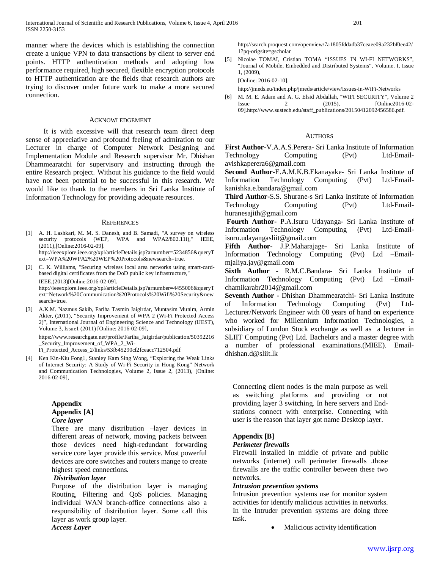manner where the devices which is establishing the connection create a unique VPN to data transactions by client to server end points. HTTP authentication methods and adopting low performance required, high secured, flexible encryption protocols to HTTP authentication are the fields that research authors are trying to discover under future work to make a more secured connection.

#### ACKNOWLEDGEMENT

 It is with excessive will that research team direct deep sense of appreciative and profound feeling of admiration to our Lecturer in charge of Computer Network Designing and Implementation Module and Research supervisor Mr. Dhishan Dhammearatchi for supervisory and instructing through the entire Research project. Without his guidance to the field would have not been potential to be successful in this research. We would like to thank to the members in Sri Lanka Institute of Information Technology for providing adequate resources.

#### **REFERENCES**

[1] A. H. Lashkari, M. M. S. Danesh, and B. Samadi, "A survey on wireless security protocols (WEP, WPA and WPA2/802.11i)," IEEE, (2011),[Online:2016-02-09]. http://ieeexplore.ieee.org/xpl/articleDetails.jsp?arnumber=5234856&queryT

ext=WPA%20WPA2%20WEP%20Protocols&newsearch=true.

[2] C. K. Williams, "Securing wireless local area networks using smart-cardbased digital certificates from the DoD public key infrastructure," IEEE,(2013)[Online:2016-02-09].

http://ieeexplore.ieee.org/xpl/articleDetails.jsp?arnumber=4455006&queryT ext=Network%20Communication%20Protocols%20Wifi%20Security&new search=true.

[3] A.K.M. Nazmus Sakib, Fariha Tasmin Jaigirdar, Muntasim Munim, Armin Akter, (2011), "Security Improvement of WPA 2 (Wi-Fi Protected Access 2)", International Journal of Engineering Science and Technology (IJEST), Volume 3, Issue1 (2011) [Online: 2016-02-09],

https://www.researchgate.net/profile/Fariha\_Jaigirdar/publication/50392216 \_Security\_Improvement\_of\_WPA\_2\_Wi-

Fi\_Protected\_Access\_2/links/53f645290cf2fceacc712504.pdf

[4] Ken Kin-Kiu Fong1, Stanley Kam Sing Wong, "Exploring the Weak Links of Internet Security: A Study of Wi-Fi Security in Hong Kong" Network and Communication Technologies, Volume 2, Issue 2, (2013), [Online: 2016-02-09],

#### **Appendix Appendix [A]** *Core layer*

There are many distribution –layer devices in different areas of network, moving packets between those devices need high-redundant forwarding service core layer provide this service. Most powerful devices are core switches and routers mange to create highest speed connections.

# *Distribution layer*

Purpose of the distribution layer is managing Routing, Filtering and QoS policies. Managing individual WAN branch-office connections also a responsibility of distribution layer. Some call this layer as work group layer.

*Access Layer*

http://search.proquest.com/openview/7a1805fddadb37ceaee09a232bf0ee42/ 1?pq-origsite=gscholar

[5] Nicolae TOMAI, Cristian TOMA "ISSUES IN WI-FI NETWORKS", "Journal of Mobile, Embedded and Distributed Systems", Volume. I, Issue 1, (2009),

[Online: 2016-02-10],

http://jmeds.eu/index.php/jmeds/article/view/Issues-in-WiFi-Networks

[6] M. M. E. Adam and A. G. Elsid Abdallah, "WIFI SECURITY", Volume 2 Issue 2 (2015), [Online2016-02- 09].http://www.sustech.edu/staff\_publications/20150412092456586.pdf.

#### **AUTHORS**

**First Author-**V.A.A.S.Perera- Sri Lanka Institute of Information Technology Computing (Pvt) Ltd-Emailavishkaperera6@gmail.com

**Second Author-**E.A.M.K.B.Ekanayake- Sri Lanka Institute of Information Technology Computing (Pvt) Ltd-Emailkanishka.e.bandara@gmail.com

**Third Author-**S.S. Shurane-s Sri Lanka Institute of Information Technology Computing (Pvt) Ltd-Emailhuranesajith@gmail.com

**Fourth Author-** P.A.Isuru Udayanga- Sri Lanka Institute of Information Technology Computing (Pvt) Ltd-Emailisuru.udayangasliit@gmail.com

**Fifth Author-** J.P.Maharajage- Sri Lanka Institute of Information Technology Computing (Pvt) Ltd –Emailmjaliya.jay@gmail.com

**Sixth Author -** R.M.C.Bandara- Sri Lanka Institute of Information Technology Computing (Pvt) Ltd –Emailchamikarabr2014@gmail.com

**Seventh Author -** Dhishan Dhammearatchi- Sri Lanka Institute of Information Technology Computing (Pvt) Ltd-Lecturer/Network Engineer with 08 years of hand on experience who worked for Millennium Information Technologies, a subsidiary of London Stock exchange as well as a lecturer in SLIIT Computing (Pvt) Ltd. Bachelors and a master degree with a number of professional examinations.(MIEE). Emaildhishan.d@sliit.lk

Connecting client nodes is the main purpose as well as switching platforms and providing or not providing layer 3 switching. In here servers and Endstations connect with enterprise. Connecting with user is the reason that layer got name Desktop layer.

# **Appendix [B]**

#### *Perimeter firewalls*

Firewall installed in middle of private and public networks (internet) call perimeter firewalls .those firewalls are the traffic controller between these two networks.

#### *Intrusion prevention systems*

Intrusion prevention systems use for monitor system activities for identify malicious activities in networks. In the Intruder prevention systems are doing three task.

• Malicious activity identification